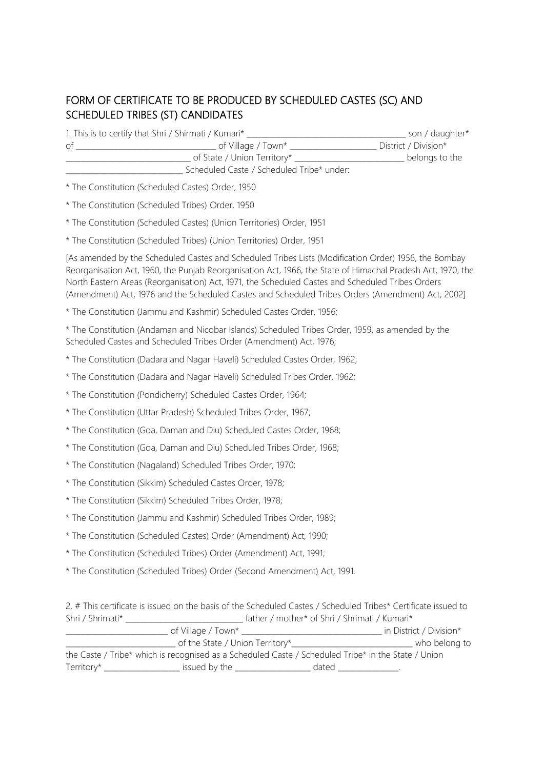## FORM OF CERTIFICATE TO BE PRODUCED BY SCHEDULED CASTES (SC) AND SCHEDULED TRIBES (ST) CANDIDATES

| SCHEDOLED INDES (31) CANDIDATES |                                                                                                                                                                                                                                                                                                                                                                                                                              |  |  |  |
|---------------------------------|------------------------------------------------------------------------------------------------------------------------------------------------------------------------------------------------------------------------------------------------------------------------------------------------------------------------------------------------------------------------------------------------------------------------------|--|--|--|
|                                 |                                                                                                                                                                                                                                                                                                                                                                                                                              |  |  |  |
|                                 |                                                                                                                                                                                                                                                                                                                                                                                                                              |  |  |  |
|                                 | Scheduled Caste / Scheduled Tribe* under:                                                                                                                                                                                                                                                                                                                                                                                    |  |  |  |
|                                 | * The Constitution (Scheduled Castes) Order, 1950                                                                                                                                                                                                                                                                                                                                                                            |  |  |  |
|                                 | * The Constitution (Scheduled Tribes) Order, 1950                                                                                                                                                                                                                                                                                                                                                                            |  |  |  |
|                                 | * The Constitution (Scheduled Castes) (Union Territories) Order, 1951                                                                                                                                                                                                                                                                                                                                                        |  |  |  |
|                                 | * The Constitution (Scheduled Tribes) (Union Territories) Order, 1951                                                                                                                                                                                                                                                                                                                                                        |  |  |  |
|                                 | [As amended by the Scheduled Castes and Scheduled Tribes Lists (Modification Order) 1956, the Bombay<br>Reorganisation Act, 1960, the Punjab Reorganisation Act, 1966, the State of Himachal Pradesh Act, 1970, the<br>North Eastern Areas (Reorganisation) Act, 1971, the Scheduled Castes and Scheduled Tribes Orders<br>(Amendment) Act, 1976 and the Scheduled Castes and Scheduled Tribes Orders (Amendment) Act, 2002] |  |  |  |
|                                 | * The Constitution (Jammu and Kashmir) Scheduled Castes Order, 1956;                                                                                                                                                                                                                                                                                                                                                         |  |  |  |
|                                 | * The Constitution (Andaman and Nicobar Islands) Scheduled Tribes Order, 1959, as amended by the<br>Scheduled Castes and Scheduled Tribes Order (Amendment) Act, 1976;                                                                                                                                                                                                                                                       |  |  |  |
|                                 | * The Constitution (Dadara and Nagar Haveli) Scheduled Castes Order, 1962;                                                                                                                                                                                                                                                                                                                                                   |  |  |  |
|                                 | * The Constitution (Dadara and Nagar Haveli) Scheduled Tribes Order, 1962;                                                                                                                                                                                                                                                                                                                                                   |  |  |  |
|                                 | * The Constitution (Pondicherry) Scheduled Castes Order, 1964;                                                                                                                                                                                                                                                                                                                                                               |  |  |  |
|                                 | * The Constitution (Uttar Pradesh) Scheduled Tribes Order, 1967;                                                                                                                                                                                                                                                                                                                                                             |  |  |  |
|                                 | * The Constitution (Goa, Daman and Diu) Scheduled Castes Order, 1968;                                                                                                                                                                                                                                                                                                                                                        |  |  |  |
|                                 | * The Constitution (Goa, Daman and Diu) Scheduled Tribes Order, 1968;                                                                                                                                                                                                                                                                                                                                                        |  |  |  |
|                                 | * The Constitution (Nagaland) Scheduled Tribes Order, 1970;                                                                                                                                                                                                                                                                                                                                                                  |  |  |  |
|                                 | * The Constitution (Sikkim) Scheduled Castes Order, 1978;                                                                                                                                                                                                                                                                                                                                                                    |  |  |  |
|                                 | * The Constitution (Sikkim) Scheduled Tribes Order, 1978;                                                                                                                                                                                                                                                                                                                                                                    |  |  |  |
|                                 | * The Constitution (Jammu and Kashmir) Scheduled Tribes Order, 1989;                                                                                                                                                                                                                                                                                                                                                         |  |  |  |
|                                 | * The Constitution (Scheduled Castes) Order (Amendment) Act, 1990;                                                                                                                                                                                                                                                                                                                                                           |  |  |  |
|                                 | * The Constitution (Scheduled Tribes) Order (Amendment) Act, 1991;                                                                                                                                                                                                                                                                                                                                                           |  |  |  |
|                                 | * The Constitution (Scheduled Tribes) Order (Second Amendment) Act, 1991.                                                                                                                                                                                                                                                                                                                                                    |  |  |  |

2. # This certificate is issued on the basis of the Scheduled Castes / Scheduled Tribes\* Certificate issued to Shri / Shrimati\* \_\_\_\_\_\_\_\_\_\_\_\_\_\_\_\_\_\_\_\_\_\_\_\_\_\_\_\_\_\_\_ father / mother\* of Shri / Shrimati / Kumari\*

|                                                                                                     | of Village / Town*                                      |       | in District / Division* |  |
|-----------------------------------------------------------------------------------------------------|---------------------------------------------------------|-------|-------------------------|--|
|                                                                                                     | of the State / Union Territory*________________________ |       | who belong to           |  |
| the Caste / Tribe* which is recognised as a Scheduled Caste / Scheduled Tribe* in the State / Union |                                                         |       |                         |  |
| Territory* $\_\_$                                                                                   | issued by the                                           | dated |                         |  |